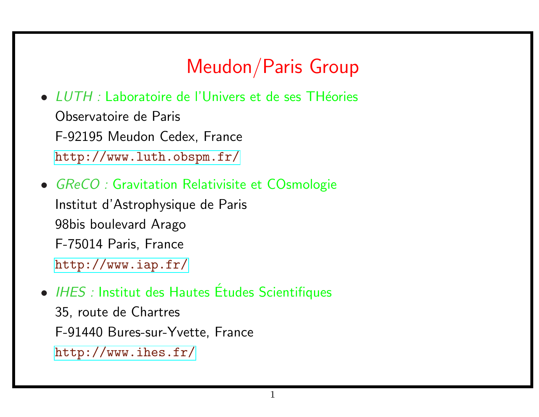# Meudon/Paris Group

- LUTH : Laboratoire de l'Univers et de ses THéories Observatoire de Paris [F-92195 Meudon Cedex](http://www.iap.fr/), France http://www.luth.obspm.fr/
- GReCO : Gravitation Relativisite et COsmologie Institut d'Astrophysique de Paris [98bis boulevard Arago](http://www.ihes.fr/) F-75014 Paris, France http://www.iap.fr/
- IHES : Institut des Hautes Études Scientifiques 35, route de Chartres F-91440 Bures-sur-Yvette, France http://www.ihes.fr/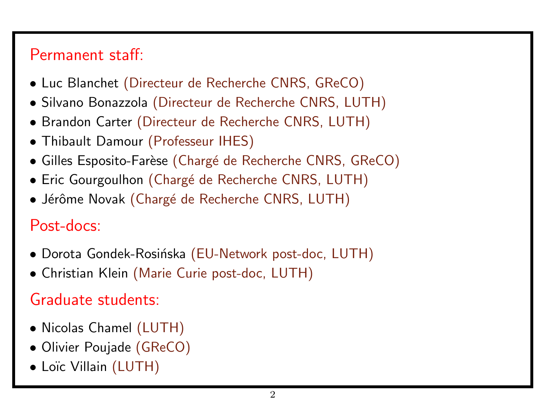# Permanent staff:

- Luc Blanchet (Directeur de Recherche CNRS, GReCO)
- Silvano Bonazzola (Directeur de Recherche CNRS, LUTH)
- Brandon Carter (Directeur de Recherche CNRS, LUTH)
- Thibault Damour (Professeur IHES)
- Gilles Esposito-Farèse (Chargé de Recherche CNRS, GReCO)
- Eric Gourgoulhon (Chargé de Recherche CNRS, LUTH)
- Jérôme Novak (Chargé de Recherche CNRS, LUTH)

# Post-docs:

- Dorota Gondek-Rosińska (EU-Network post-doc, LUTH)
- Christian Klein (Marie Curie post-doc, LUTH)

# Graduate students:

- Nicolas Chamel (LUTH)
- Olivier Poujade (GReCO)
- Loïc Villain (LUTH)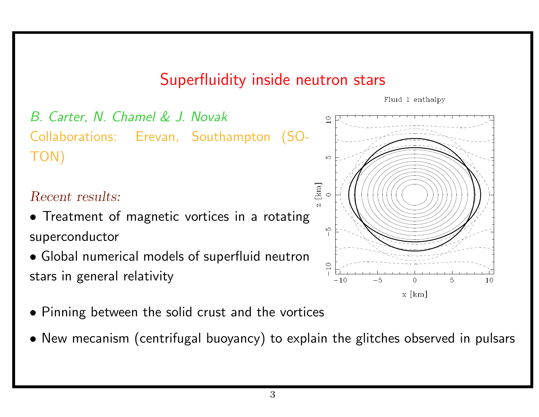### Superfluidity inside neutron stars

Fluid 1 enthalpy

 $x \lceil km \rceil$ 



- Pinning between the solid crust and the vortices
- New mecanism (centrifugal buoyancy) to explain the glitches observed in pulsars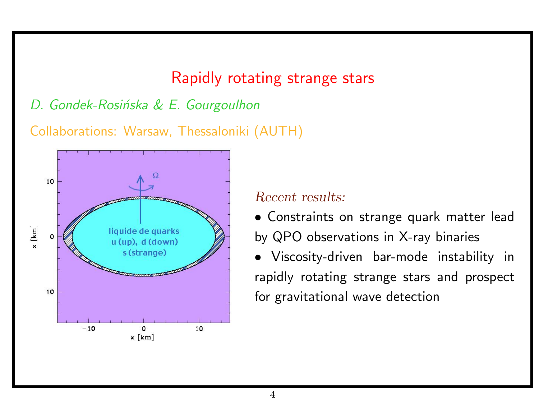### Rapidly rotating strange stars

### D. Gondek-Rosińska & E. Gourgoulhon

Collaborations: Warsaw, Thessaloniki (AUTH)



#### Recent results:

• Constraints on strange quark matter lead by QPO observations in X-ray binaries

• Viscosity-driven bar-mode instability in rapidly rotating strange stars and prospect for gravitational wave detection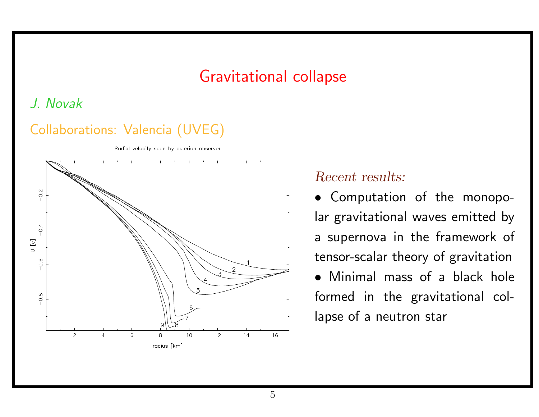### Gravitational collapse

### J. Novak

### Collaborations: Valencia (UVEG)

Radial velocity seen by eulerian observer



#### Recent results:

• Computation of the monopolar gravitational waves emitted by a supernova in the framework of tensor-scalar theory of gravitation

• Minimal mass of a black hole formed in the gravitational collapse of a neutron star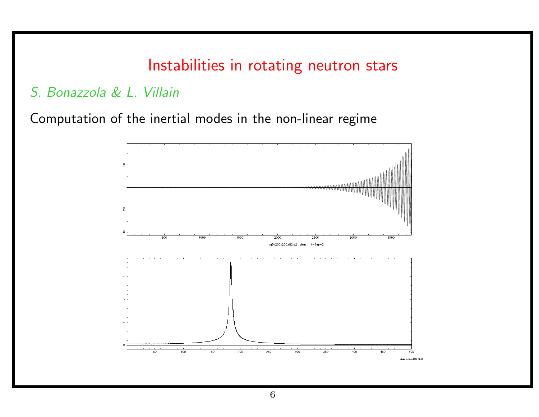### Instabilities in rotating neutron stars

### S. Bonazzola & L. Villain

Computation of the inertial modes in the non-linear regime

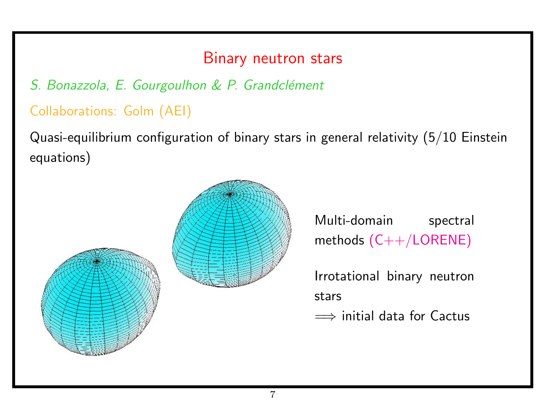### Binary neutron stars

### S. Bonazzola, E. Gourgoulhon & P. Grandclément

### Collaborations: Golm (AEI)

Quasi-equilibrium configuration of binary stars in general relativity (5/10 Einstein equations)



Multi-domain spectral methods (C++/LORENE)

Irrotational binary neutron stars

 $\implies$  initial data for Cactus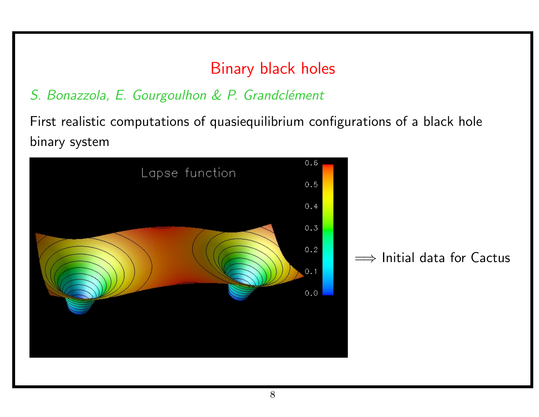# Binary black holes

### S. Bonazzola, E. Gourgoulhon & P. Grandclément

First realistic computations of quasiequilibrium configurations of a black hole binary system

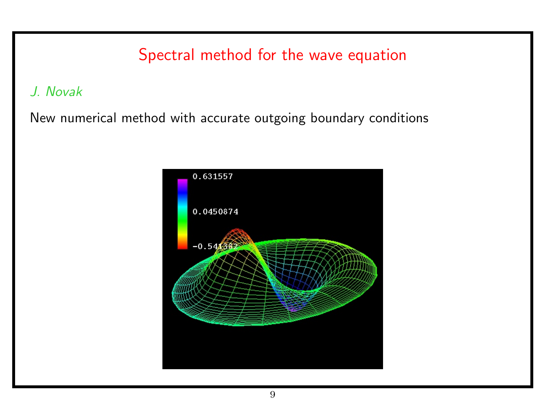### Spectral method for the wave equation

J. Novak

New numerical method with accurate outgoing boundary conditions